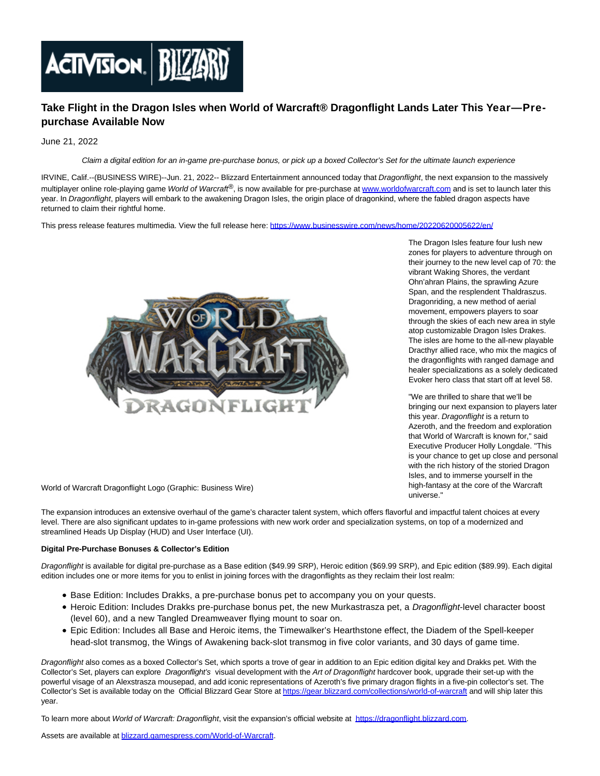

# **Take Flight in the Dragon Isles when World of Warcraft® Dragonflight Lands Later This Year—Prepurchase Available Now**

June 21, 2022

Claim a digital edition for an in-game pre-purchase bonus, or pick up a boxed Collector's Set for the ultimate launch experience

IRVINE, Calif.--(BUSINESS WIRE)--Jun. 21, 2022-- Blizzard Entertainment announced today that Dragonflight, the next expansion to the massively multiplayer online role-playing game World of Warcraft®, is now available for pre-purchase at [www.worldofwarcraft.com a](https://cts.businesswire.com/ct/CT?id=smartlink&url=http%3A%2F%2Fwww.worldofwarcraft.com&esheet=52756294&newsitemid=20220620005622&lan=en-US&anchor=www.worldofwarcraft.com&index=1&md5=a66b175e220f7543223696d4248699cf)nd is set to launch later this year. In Dragonflight, players will embark to the awakening Dragon Isles, the origin place of dragonkind, where the fabled dragon aspects have returned to claim their rightful home.

This press release features multimedia. View the full release here:<https://www.businesswire.com/news/home/20220620005622/en/>



The Dragon Isles feature four lush new zones for players to adventure through on their journey to the new level cap of 70: the vibrant Waking Shores, the verdant Ohn'ahran Plains, the sprawling Azure Span, and the resplendent Thaldraszus. Dragonriding, a new method of aerial movement, empowers players to soar through the skies of each new area in style atop customizable Dragon Isles Drakes. The isles are home to the all-new playable Dracthyr allied race, who mix the magics of the dragonflights with ranged damage and healer specializations as a solely dedicated Evoker hero class that start off at level 58.

"We are thrilled to share that we'll be bringing our next expansion to players later this year. Dragonflight is a return to Azeroth, and the freedom and exploration that World of Warcraft is known for," said Executive Producer Holly Longdale. "This is your chance to get up close and personal with the rich history of the storied Dragon Isles, and to immerse yourself in the high-fantasy at the core of the Warcraft universe."

World of Warcraft Dragonflight Logo (Graphic: Business Wire)

The expansion introduces an extensive overhaul of the game's character talent system, which offers flavorful and impactful talent choices at every level. There are also significant updates to in-game professions with new work order and specialization systems, on top of a modernized and streamlined Heads Up Display (HUD) and User Interface (UI).

### **Digital Pre-Purchase Bonuses & Collector's Edition**

Dragonflight is available for digital pre-purchase as a Base edition (\$49.99 SRP), Heroic edition (\$69.99 SRP), and Epic edition (\$89.99). Each digital edition includes one or more items for you to enlist in joining forces with the dragonflights as they reclaim their lost realm:

- Base Edition: Includes Drakks, a pre-purchase bonus pet to accompany you on your quests.
- Heroic Edition: Includes Drakks pre-purchase bonus pet, the new Murkastrasza pet, a Dragonflight-level character boost (level 60), and a new Tangled Dreamweaver flying mount to soar on.
- Epic Edition: Includes all Base and Heroic items, the Timewalker's Hearthstone effect, the Diadem of the Spell-keeper head-slot transmog, the Wings of Awakening back-slot transmog in five color variants, and 30 days of game time.

Dragonflight also comes as a boxed Collector's Set, which sports a trove of gear in addition to an Epic edition digital key and Drakks pet. With the Collector's Set, players can explore Dragonflight's visual development with the Art of Dragonflight hardcover book, upgrade their set-up with the powerful visage of an Alexstrasza mousepad, and add iconic representations of Azeroth's five primary dragon flights in a five-pin collector's set. The Collector's Set is available today on the Official Blizzard Gear Store at [https://gear.blizzard.com/collections/world-of-warcraft a](https://cts.businesswire.com/ct/CT?id=smartlink&url=https%3A%2F%2Fgear.blizzard.com%2Fcollections%2Fworld-of-warcraft&esheet=52756294&newsitemid=20220620005622&lan=en-US&anchor=https%3A%2F%2Fgear.blizzard.com%2Fcollections%2Fworld-of-warcraft&index=2&md5=9a2135f4a36265f1ee056cafbb09247c)nd will ship later this year.

To learn more about World of Warcraft: Dragonflight, visit the expansion's official website at [https://dragonflight.blizzard.com.](https://cts.businesswire.com/ct/CT?id=smartlink&url=https%3A%2F%2Fdragonflight.blizzard.com&esheet=52756294&newsitemid=20220620005622&lan=en-US&anchor=https%3A%2F%2Fdragonflight.blizzard.com&index=3&md5=45bbfed97f53978d57ef930d126aecd1)

Assets are available at **blizzard.gamespress.com/World-of-Warcraft**.